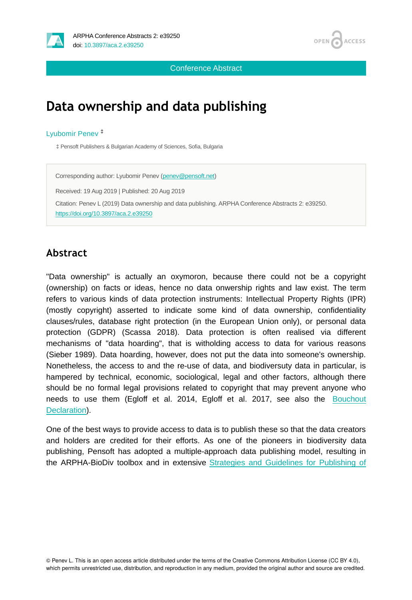



Conference Abstract

# **Data ownership and data publishing**

### Lyubomir Penev ‡

‡ Pensoft Publishers & Bulgarian Academy of Sciences, Sofia, Bulgaria

Corresponding author: Lyubomir Penev ([penev@pensoft.net](mailto:penev@pensoft.net)) Received: 19 Aug 2019 | Published: 20 Aug 2019 Citation: Penev L (2019) Data ownership and data publishing. ARPHA Conference Abstracts 2: e39250. <https://doi.org/10.3897/aca.2.e39250>

## **Abstract**

"Data ownership" is actually an oxymoron, because there could not be a copyright (ownership) on facts or ideas, hence no data onwership rights and law exist. The term refers to various kinds of data protection instruments: Intellectual Property Rights (IPR) (mostly copyright) asserted to indicate some kind of data ownership, confidentiality clauses/rules, database right protection (in the European Union only), or personal data protection (GDPR) (Scassa 2018). Data protection is often realised via different mechanisms of "data hoarding", that is witholding access to data for various reasons (Sieber 1989). Data hoarding, however, does not put the data into someone's ownership. Nonetheless, the access to and the re-use of data, and biodiversuty data in particular, is hampered by technical, economic, sociological, legal and other factors, although there should be no formal legal provisions related to copyright that may prevent anyone who needs to use them (Egloff et al. 2014, Egloff et al. 2017, see also the [Bouchout](https://bouchoutdeclaration.org/) [Declaration\)](https://bouchoutdeclaration.org/).

One of the best ways to provide access to data is to publish these so that the data creators and holders are credited for their efforts. As one of the pioneers in biodiversity data publishing, Pensoft has adopted a multiple-approach data publishing model, resulting in the ARPHA-BioDiv toolbox and in extensive [Strategies and Guidelines for Publishing of](https://riojournal.com/articles.php?id=12431)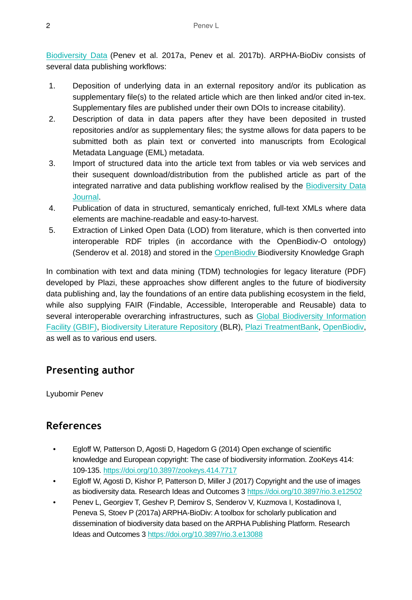[Biodiversity Data](https://riojournal.com/articles.php?id=12431) (Penev et al. 2017a, Penev et al. 2017b). ARPHA-BioDiv consists of several data publishing workflows:

- 1. Deposition of underlying data in an external repository and/or its publication as supplementary file(s) to the related article which are then linked and/or cited in-tex. Supplementary files are published under their own DOIs to increase citability).
- 2. Description of data in data papers after they have been deposited in trusted repositories and/or as supplementary files; the systme allows for data papers to be submitted both as plain text or converted into manuscripts from Ecological Metadata Language (EML) metadata.
- 3. Import of structured data into the article text from tables or via web services and their susequent download/distribution from the published article as part of the integrated narrative and data publishing workflow realised by the [Biodiversity Data](https://bdj.pensoft.net/) [Journal.](https://bdj.pensoft.net/)
- 4. Publication of data in structured, semanticaly enriched, full-text XMLs where data elements are machine-readable and easy-to-harvest.
- 5. Extraction of Linked Open Data (LOD) from literature, which is then converted into interoperable RDF triples (in accordance with the OpenBiodiv-O ontology) (Senderov et al. 2018) and stored in the [OpenBiodiv B](http://openbiodiv.net/)iodiversity Knowledge Graph

In combination with text and data mining (TDM) technologies for legacy literature (PDF) developed by Plazi, these approaches show different angles to the future of biodiversity data publishing and, lay the foundations of an entire data publishing ecosystem in the field, while also supplying FAIR (Findable, Accessible, Interoperable and Reusable) data to several interoperable overarching infrastructures, such as [Global Biodiversity Information](http://gbif.org) [Facility \(GBIF\),](http://gbif.org) [Biodiversity Literature Repository \(](https://zenodo.org/communities/biosyslit/)BLR), [Plazi TreatmentBank](http://plazi.org/resources/treatmentbank/), [OpenBiodiv,](http://openbiodiv.net) as well as to various end users.

## **Presenting author**

Lyubomir Penev

## **References**

- Egloff W, Patterson D, Agosti D, Hagedorn G (2014) Open exchange of scientific knowledge and European copyright: The case of biodiversity information. ZooKeys 414: 109‑135.<https://doi.org/10.3897/zookeys.414.7717>
- Egloff W, Agosti D, Kishor P, Patterson D, Miller J (2017) Copyright and the use of images as biodiversity data. Research Ideas and Outcomes 3 <https://doi.org/10.3897/rio.3.e12502>
- Penev L, Georgiev T, Geshev P, Demirov S, Senderov V, Kuzmova I, Kostadinova I, Peneva S, Stoev P (2017a) ARPHA-BioDiv: A toolbox for scholarly publication and dissemination of biodiversity data based on the ARPHA Publishing Platform. Research Ideas and Outcomes 3 <https://doi.org/10.3897/rio.3.e13088>